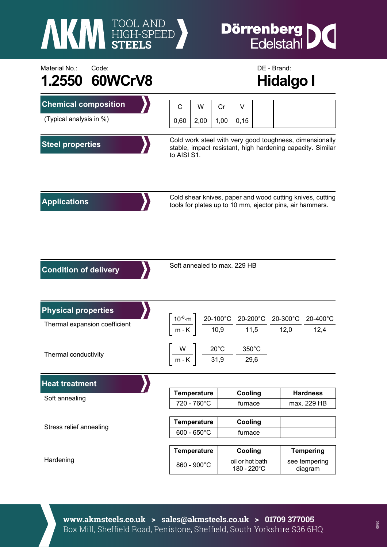

## **Dörrenberg DC**<br>Edelstahl

| Material No.:<br>Code:<br>1.2550 60WCrV8 | DE - Brand:<br><b>Hidalgo I</b>                                                                                                                                                                                                       |      |                                                                              |                                           |  |  |                                              |  |      |
|------------------------------------------|---------------------------------------------------------------------------------------------------------------------------------------------------------------------------------------------------------------------------------------|------|------------------------------------------------------------------------------|-------------------------------------------|--|--|----------------------------------------------|--|------|
| <b>Chemical composition</b>              | $\mathsf{C}$                                                                                                                                                                                                                          | W    | Cr                                                                           | V                                         |  |  |                                              |  |      |
| (Typical analysis in %)                  | 0,60                                                                                                                                                                                                                                  | 2,00 | 1,00                                                                         | 0,15                                      |  |  |                                              |  |      |
| <b>Steel properties</b>                  | Cold work steel with very good toughness, dimensionally<br>stable, impact resistant, high hardening capacity. Similar<br>to AISI S1.                                                                                                  |      |                                                                              |                                           |  |  |                                              |  |      |
| <b>Applications</b>                      | Cold shear knives, paper and wood cutting knives, cutting<br>tools for plates up to 10 mm, ejector pins, air hammers.                                                                                                                 |      |                                                                              |                                           |  |  |                                              |  |      |
| <b>Condition of delivery</b>             | Soft annealed to max. 229 HB                                                                                                                                                                                                          |      |                                                                              |                                           |  |  |                                              |  |      |
| <b>Physical properties</b>               | $\left[\frac{10^{-6} \text{ m}}{\text{m} \cdot \text{K}}\right] \frac{\text{20-100}^{\circ} \text{C}}{\text{10,9}} \frac{\text{20-200}^{\circ} \text{C}}{\text{11,5}} \frac{\text{20-300}^{\circ} \text{C}}{\text{12,0}}$<br>20-400°C |      |                                                                              |                                           |  |  |                                              |  |      |
| Thermal expansion coefficient            |                                                                                                                                                                                                                                       |      |                                                                              |                                           |  |  |                                              |  | 12,4 |
| Thermal conductivity                     | $m \cdot K$                                                                                                                                                                                                                           |      | $\begin{bmatrix} W & 1 & 20^{\circ}C \end{bmatrix}$<br>350°C<br>31,9<br>29,6 |                                           |  |  |                                              |  |      |
| <b>Heat treatment</b>                    |                                                                                                                                                                                                                                       |      |                                                                              |                                           |  |  |                                              |  |      |
| Soft annealing                           | <b>Temperature</b><br>720 - 760°C                                                                                                                                                                                                     |      |                                                                              | Cooling<br>furnace                        |  |  | <b>Hardness</b><br>max. 229 HB               |  |      |
| Stress relief annealing                  | <b>Temperature</b><br>$600 - 650^{\circ}$ C                                                                                                                                                                                           |      |                                                                              | Cooling<br>furnace                        |  |  |                                              |  |      |
|                                          |                                                                                                                                                                                                                                       |      |                                                                              |                                           |  |  |                                              |  |      |
| Hardening                                | <b>Temperature</b><br>860 - 900°C                                                                                                                                                                                                     |      |                                                                              | Cooling<br>oil or hot bath<br>180 - 220°C |  |  | <b>Tempering</b><br>see tempering<br>diagram |  |      |

**www.akmsteels.co.uk > sales@akmsteels.co.uk > 01709 377005**  Box Mill, Sheffield Road, Penistone, Sheffield, South Yorkshire S36 6HQ